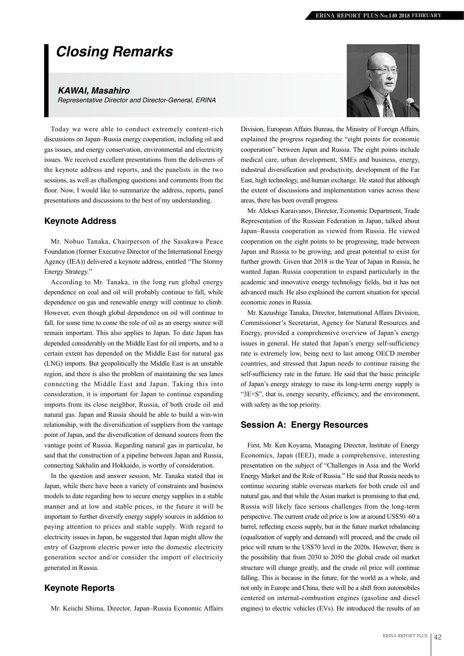# *Closing Remarks*

#### *KAWAI, Masahiro*

*Representative Director and Director-General, ERINA*

Today we were able to conduct extremely content-rich discussions on Japan–Russia energy cooperation, including oil and gas issues, and energy conservation, environmental and electricity issues. We received excellent presentations from the deliverers of the keynote address and reports, and the panelists in the two sessions, as well as challenging questions and comments from the floor. Now, I would like to summarize the address, reports, panel presentations and discussions to the best of my understanding.

### **Keynote Address**

Mr. Nobuo Tanaka, Chairperson of the Sasakawa Peace Foundation (former Executive Director of the International Energy Agency (IEA)) delivered a keynote address, entitled "The Stormy Energy Strategy."

According to Mr. Tanaka, in the long run global energy dependence on coal and oil will probably continue to fall, while dependence on gas and renewable energy will continue to climb. However, even though global dependence on oil will continue to fall, for some time to come the role of oil as an energy source will remain important. This also applies to Japan. To date Japan has depended considerably on the Middle East for oil imports, and to a certain extent has depended on the Middle East for natural gas (LNG) imports. But geopolitically the Middle East is an unstable region, and there is also the problem of maintaining the sea lanes connecting the Middle East and Japan. Taking this into consideration, it is important for Japan to continue expanding imports from its close neighbor, Russia, of both crude oil and natural gas. Japan and Russia should be able to build a win-win relationship, with the diversification of suppliers from the vantage point of Japan, and the diversification of demand sources from the vantage point of Russia. Regarding natural gas in particular, he said that the construction of a pipeline between Japan and Russia, connecting Sakhalin and Hokkaido, is worthy of consideration.

In the question and answer session, Mr. Tanaka stated that in Japan, while there have been a variety of constraints and business models to date regarding how to secure energy supplies in a stable manner and at low and stable prices, in the future it will be important to further diversify energy supply sources in addition to paying attention to prices and stable supply. With regard to electricity issues in Japan, he suggested that Japan might allow the entry of Gazprom electric power into the domestic electricity generation sector and/or consider the import of electricity generated in Russia.

### **Keynote Reports**

Mr. Keiichi Shima, Director, Japan–Russia Economic Affairs



Division, European Affairs Bureau, the Ministry of Foreign Affairs, explained the progress regarding the "eight points for economic cooperation" between Japan and Russia. The eight points include medical care, urban development, SMEs and business, energy, industrial diversification and productivity, development of the Far East, high technology, and human exchange. He stated that although the extent of discussions and implementation varies across these areas, there has been overall progress.

Mr. Aleksei Karaivanov, Director, Economic Department, Trade Representation of the Russian Federation in Japan, talked about Japan–Russia cooperation as viewed from Russia. He viewed cooperation on the eight points to be progressing, trade between Japan and Russia to be growing, and great potential to exist for further growth. Given that 2018 is the Year of Japan in Russia, he wanted Japan–Russia cooperation to expand particularly in the academic and innovative energy technology fields, but it has not advanced much. He also explained the current situation for special economic zones in Russia.

Mr. Kazushige Tanaka, Director, International Affairs Division, Commissioner's Secretariat, Agency for Natural Resources and Energy, provided a comprehensive overview of Japan's energy issues in general. He stated that Japan's energy self-sufficiency rate is extremely low, being next to last among OECD member countries, and stressed that Japan needs to continue raising the self-sufficiency rate in the future. He said that the basic principle of Japan's energy strategy to raise its long-term energy supply is "3E+S", that is, energy security, efficiency, and the environment, with safety as the top priority.

### **Session A: Energy Resources**

First, Mr. Ken Koyama, Managing Director, Institute of Energy Economics, Japan (IEEJ), made a comprehensive, interesting presentation on the subject of "Challenges in Asia and the World Energy Market and the Role of Russia." He said that Russia needs to continue securing stable overseas markets for both crude oil and natural gas, and that while the Asian market is promising to that end, Russia will likely face serious challenges from the long-term perspective. The current crude oil price is low at around US\$50–60 a barrel, reflecting excess supply, but in the future market rebalancing (equalization of supply and demand) will proceed, and the crude oil price will return to the US\$70 level in the 2020s. However, there is the possibility that from 2030 to 2050 the global crude oil market structure will change greatly, and the crude oil price will continue falling. This is because in the future, for the world as a whole, and not only in Europe and China, there will be a shift from automobiles centered on internal-combustion engines (gasoline and diesel engines) to electric vehicles (EVs). He introduced the results of an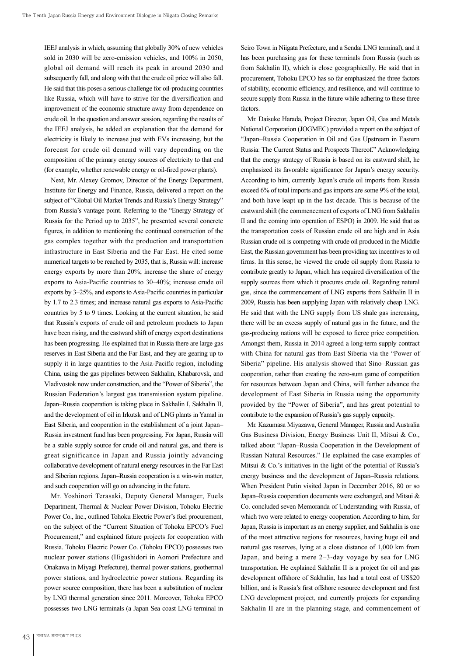IEEJ analysis in which, assuming that globally 30% of new vehicles sold in 2030 will be zero-emission vehicles, and 100% in 2050, global oil demand will reach its peak in around 2030 and subsequently fall, and along with that the crude oil price will also fall. He said that this poses a serious challenge for oil-producing countries like Russia, which will have to strive for the diversification and improvement of the economic structure away from dependence on crude oil. In the question and answer session, regarding the results of the IEEJ analysis, he added an explanation that the demand for electricity is likely to increase just with EVs increasing, but the forecast for crude oil demand will vary depending on the composition of the primary energy sources of electricity to that end (for example, whether renewable energy or oil-fired power plants).

Next, Mr. Alexey Gromov, Director of the Energy Department, Institute for Energy and Finance, Russia, delivered a report on the subject of "Global Oil Market Trends and Russia's Energy Strategy" from Russia's vantage point. Referring to the "Energy Strategy of Russia for the Period up to 2035", he presented several concrete figures, in addition to mentioning the continued construction of the gas complex together with the production and transportation infrastructure in East Siberia and the Far East. He cited some numerical targets to be reached by 2035, that is, Russia will: increase energy exports by more than 20%; increase the share of energy exports to Asia-Pacific countries to 30–40%; increase crude oil exports by 3–25%, and exports to Asia-Pacific countries in particular by 1.7 to 2.3 times; and increase natural gas exports to Asia-Pacific countries by 5 to 9 times. Looking at the current situation, he said that Russia's exports of crude oil and petroleum products to Japan have been rising, and the eastward shift of energy export destinations has been progressing. He explained that in Russia there are large gas reserves in East Siberia and the Far East, and they are gearing up to supply it in large quantities to the Asia-Pacific region, including China, using the gas pipelines between Sakhalin, Khabarovsk, and Vladivostok now under construction, and the "Power of Siberia", the Russian Federation's largest gas transmission system pipeline. Japan–Russia cooperation is taking place in Sakhalin I, Sakhalin II, and the development of oil in Irkutsk and of LNG plants in Yamal in East Siberia, and cooperation in the establishment of a joint Japan– Russia investment fund has been progressing. For Japan, Russia will be a stable supply source for crude oil and natural gas, and there is great significance in Japan and Russia jointly advancing collaborative development of natural energy resources in the Far East and Siberian regions. Japan–Russia cooperation is a win-win matter, and such cooperation will go on advancing in the future.

Mr. Yoshinori Terasaki, Deputy General Manager, Fuels Department, Thermal & Nuclear Power Division, Tohoku Electric Power Co., Inc., outlined Tohoku Electric Power's fuel procurement, on the subject of the "Current Situation of Tohoku EPCO's Fuel Procurement," and explained future projects for cooperation with Russia. Tohoku Electric Power Co. (Tohoku EPCO) possesses two nuclear power stations (Higashidori in Aomori Prefecture and Onakawa in Miyagi Prefecture), thermal power stations, geothermal power stations, and hydroelectric power stations. Regarding its power source composition, there has been a substitution of nuclear by LNG thermal generation since 2011. Moreover, Tohoku EPCO possesses two LNG terminals (a Japan Sea coast LNG terminal in

Seiro Town in Niigata Prefecture, and a Sendai LNG terminal), and it has been purchasing gas for these terminals from Russia (such as from Sakhalin II), which is close geographically. He said that in procurement, Tohoku EPCO has so far emphasized the three factors of stability, economic efficiency, and resilience, and will continue to secure supply from Russia in the future while adhering to these three factors.

Mr. Daisuke Harada, Project Director, Japan Oil, Gas and Metals National Corporation (JOGMEC) provided a report on the subject of "Japan–Russia Cooperation in Oil and Gas Upstream in Eastern Russia: The Current Status and Prospects Thereof." Acknowledging that the energy strategy of Russia is based on its eastward shift, he emphasized its favorable significance for Japan's energy security. According to him, currently Japan's crude oil imports from Russia exceed 6% of total imports and gas imports are some 9% of the total, and both have leapt up in the last decade. This is because of the eastward shift (the commencement of exports of LNG from Sakhalin II and the coming into operation of ESPO) in 2009. He said that as the transportation costs of Russian crude oil are high and in Asia Russian crude oil is competing with crude oil produced in the Middle East, the Russian government has been providing tax incentives to oil firms. In this sense, he viewed the crude oil supply from Russia to contribute greatly to Japan, which has required diversification of the supply sources from which it procures crude oil. Regarding natural gas, since the commencement of LNG exports from Sakhalin II in 2009, Russia has been supplying Japan with relatively cheap LNG. He said that with the LNG supply from US shale gas increasing, there will be an excess supply of natural gas in the future, and the gas-producing nations will be exposed to fierce price competition. Amongst them, Russia in 2014 agreed a long-term supply contract with China for natural gas from East Siberia via the "Power of Siberia" pipeline. His analysis showed that Sino–Russian gas cooperation, rather than creating the zero-sum game of competition for resources between Japan and China, will further advance the development of East Siberia in Russia using the opportunity provided by the "Power of Siberia", and has great potential to contribute to the expansion of Russia's gas supply capacity.

Mr. Kazumasa Miyazawa, General Manager, Russia and Australia Gas Business Division, Energy Business Unit II, Mitsui & Co., talked about "Japan–Russia Cooperation in the Development of Russian Natural Resources." He explained the case examples of Mitsui  $\&$  Co.'s initiatives in the light of the potential of Russia's energy business and the development of Japan–Russia relations. When President Putin visited Japan in December 2016, 80 or so Japan–Russia cooperation documents were exchanged, and Mitsui & Co. concluded seven Memoranda of Understanding with Russia, of which two were related to energy cooperation. According to him, for Japan, Russia is important as an energy supplier, and Sakhalin is one of the most attractive regions for resources, having huge oil and natural gas reserves, lying at a close distance of 1,000 km from Japan, and being a mere 2–3-day voyage by sea for LNG transportation. He explained Sakhalin II is a project for oil and gas development offshore of Sakhalin, has had a total cost of US\$20 billion, and is Russia's first offshore resource development and first LNG development project, and currently projects for expanding Sakhalin II are in the planning stage, and commencement of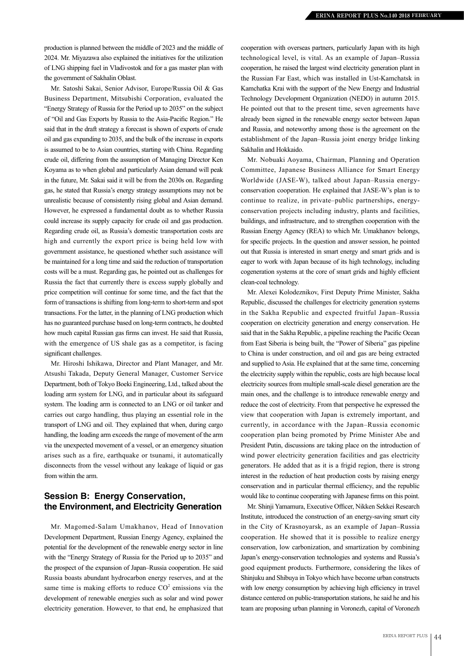production is planned between the middle of 2023 and the middle of 2024. Mr. Miyazawa also explained the initiatives for the utilization of LNG shipping fuel in Vladivostok and for a gas master plan with the government of Sakhalin Oblast.

Mr. Satoshi Sakai, Senior Advisor, Europe/Russia Oil & Gas Business Department, Mitsubishi Corporation, evaluated the "Energy Strategy of Russia for the Period up to 2035" on the subject of "Oil and Gas Exports by Russia to the Asia-Pacific Region." He said that in the draft strategy a forecast is shown of exports of crude oil and gas expanding to 2035, and the bulk of the increase in exports is assumed to be to Asian countries, starting with China. Regarding crude oil, differing from the assumption of Managing Director Ken Koyama as to when global and particularly Asian demand will peak in the future, Mr. Sakai said it will be from the 2030s on. Regarding gas, he stated that Russia's energy strategy assumptions may not be unrealistic because of consistently rising global and Asian demand. However, he expressed a fundamental doubt as to whether Russia could increase its supply capacity for crude oil and gas production. Regarding crude oil, as Russia's domestic transportation costs are high and currently the export price is being held low with government assistance, he questioned whether such assistance will be maintained for a long time and said the reduction of transportation costs will be a must. Regarding gas, he pointed out as challenges for Russia the fact that currently there is excess supply globally and price competition will continue for some time, and the fact that the form of transactions is shifting from long-term to short-term and spot transactions. For the latter, in the planning of LNG production which has no guaranteed purchase based on long-term contracts, he doubted how much capital Russian gas firms can invest. He said that Russia, with the emergence of US shale gas as a competitor, is facing significant challenges.

Mr. Hiroshi Ishikawa, Director and Plant Manager, and Mr. Atsushi Takada, Deputy General Manager, Customer Service Department, both of Tokyo Boeki Engineering, Ltd., talked about the loading arm system for LNG, and in particular about its safeguard system. The loading arm is connected to an LNG or oil tanker and carries out cargo handling, thus playing an essential role in the transport of LNG and oil. They explained that when, during cargo handling, the loading arm exceeds the range of movement of the arm via the unexpected movement of a vessel, or an emergency situation arises such as a fire, earthquake or tsunami, it automatically disconnects from the vessel without any leakage of liquid or gas from within the arm.

## **Session B: Energy Conservation, the Environment, and Electricity Generation**

Mr. Magomed-Salam Umakhanov, Head of Innovation Development Department, Russian Energy Agency, explained the potential for the development of the renewable energy sector in line with the "Energy Strategy of Russia for the Period up to 2035" and the prospect of the expansion of Japan–Russia cooperation. He said Russia boasts abundant hydrocarbon energy reserves, and at the same time is making efforts to reduce  $CO<sup>2</sup>$  emissions via the development of renewable energies such as solar and wind power electricity generation. However, to that end, he emphasized that

cooperation with overseas partners, particularly Japan with its high technological level, is vital. As an example of Japan–Russia cooperation, he raised the largest wind electricity generation plant in the Russian Far East, which was installed in Ust-Kamchatsk in Kamchatka Krai with the support of the New Energy and Industrial Technology Development Organization (NEDO) in autumn 2015. He pointed out that to the present time, seven agreements have already been signed in the renewable energy sector between Japan and Russia, and noteworthy among those is the agreement on the establishment of the Japan–Russia joint energy bridge linking Sakhalin and Hokkaido.

Mr. Nobuaki Aoyama, Chairman, Planning and Operation Committee, Japanese Business Alliance for Smart Energy Worldwide (JASE-W), talked about Japan–Russia energyconservation cooperation. He explained that JASE-W's plan is to continue to realize, in private–public partnerships, energyconservation projects including industry, plants and facilities, buildings, and infrastructure, and to strengthen cooperation with the Russian Energy Agency (REA) to which Mr. Umakhanov belongs, for specific projects. In the question and answer session, he pointed out that Russia is interested in smart energy and smart grids and is eager to work with Japan because of its high technology, including cogeneration systems at the core of smart grids and highly efficient clean-coal technology.

Mr. Alexei Kolodeznikov, First Deputy Prime Minister, Sakha Republic, discussed the challenges for electricity generation systems in the Sakha Republic and expected fruitful Japan–Russia cooperation on electricity generation and energy conservation. He said that in the Sakha Republic, a pipeline reaching the Pacific Ocean from East Siberia is being built, the "Power of Siberia" gas pipeline to China is under construction, and oil and gas are being extracted and supplied to Asia. He explained that at the same time, concerning the electricity supply within the republic, costs are high because local electricity sources from multiple small-scale diesel generation are the main ones, and the challenge is to introduce renewable energy and reduce the cost of electricity. From that perspective he expressed the view that cooperation with Japan is extremely important, and currently, in accordance with the Japan–Russia economic cooperation plan being promoted by Prime Minister Abe and President Putin, discussions are taking place on the introduction of wind power electricity generation facilities and gas electricity generators. He added that as it is a frigid region, there is strong interest in the reduction of heat production costs by raising energy conservation and in particular thermal efficiency, and the republic would like to continue cooperating with Japanese firms on this point.

Mr. Shinji Yamamura, Executive Officer, Nikken Sekkei Research Institute, introduced the construction of an energy-saving smart city in the City of Krasnoyarsk, as an example of Japan–Russia cooperation. He showed that it is possible to realize energy conservation, low carbonization, and smartization by combining Japan's energy-conservation technologies and systems and Russia's good equipment products. Furthermore, considering the likes of Shinjuku and Shibuya in Tokyo which have become urban constructs with low energy consumption by achieving high efficiency in travel distance centered on public-transportation stations, he said he and his team are proposing urban planning in Voronezh, capital of Voronezh